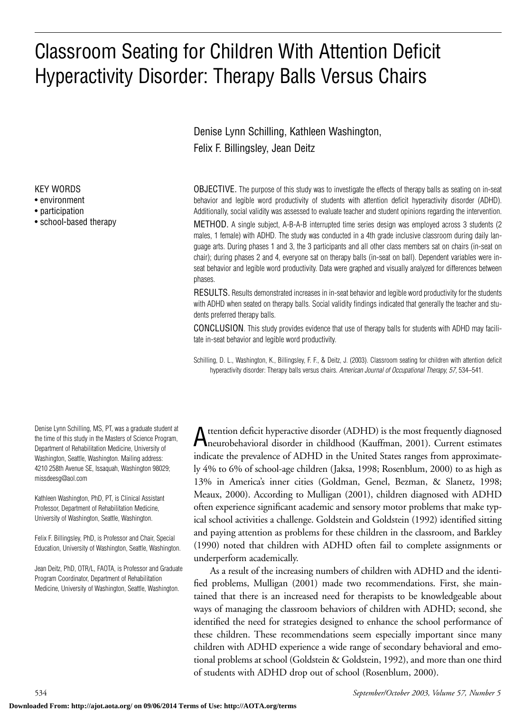# Classroom Seating for Children With Attention Deficit Hyperactivity Disorder: Therapy Balls Versus Chairs

Denise Lynn Schilling, Kathleen Washington, Felix F. Billingsley, Jean Deitz

OBJECTIVE. The purpose of this study was to investigate the effects of therapy balls as seating on in-seat behavior and legible word productivity of students with attention deficit hyperactivity disorder (ADHD). Additionally, social validity was assessed to evaluate teacher and student opinions regarding the intervention.

METHOD. A single subject, A-B-A-B interrupted time series design was employed across 3 students (2 males, 1 female) with ADHD. The study was conducted in a 4th grade inclusive classroom during daily language arts. During phases 1 and 3, the 3 participants and all other class members sat on chairs (in-seat on chair); during phases 2 and 4, everyone sat on therapy balls (in-seat on ball). Dependent variables were inseat behavior and legible word productivity. Data were graphed and visually analyzed for differences between phases.

RESULTS. Results demonstrated increases in in-seat behavior and legible word productivity for the students with ADHD when seated on therapy balls. Social validity findings indicated that generally the teacher and students preferred therapy balls.

CONCLUSION. This study provides evidence that use of therapy balls for students with ADHD may facilitate in-seat behavior and legible word productivity.

Schilling, D. L., Washington, K., Billingsley, F. F., & Deitz, J. (2003). Classroom seating for children with attention deficit hyperactivity disorder: Therapy balls versus chairs. *American Journal of Occupational Therapy, 57,* 534–541.

Attention deficit hyperactive disorder (ADHD) is the most frequently diagnosed neurobehavioral disorder in childhood (Kauffman, 2001). Current estimates indicate the prevalence of ADHD in the United States ranges from approximately 4% to 6% of school-age children (Jaksa, 1998; Rosenblum, 2000) to as high as 13% in America's inner cities (Goldman, Genel, Bezman, & Slanetz, 1998; Meaux, 2000). According to Mulligan (2001), children diagnosed with ADHD often experience significant academic and sensory motor problems that make typical school activities a challenge. Goldstein and Goldstein (1992) identified sitting and paying attention as problems for these children in the classroom, and Barkley (1990) noted that children with ADHD often fail to complete assignments or underperform academically.

As a result of the increasing numbers of children with ADHD and the identified problems, Mulligan (2001) made two recommendations. First, she maintained that there is an increased need for therapists to be knowledgeable about ways of managing the classroom behaviors of children with ADHD; second, she identified the need for strategies designed to enhance the school performance of these children. These recommendations seem especially important since many children with ADHD experience a wide range of secondary behavioral and emotional problems at school (Goldstein & Goldstein, 1992), and more than one third of students with ADHD drop out of school (Rosenblum, 2000).

KEY WORDS • environment

- participation
- 

• school-based therapy

Denise Lynn Schilling, MS, PT, was a graduate student at the time of this study in the Masters of Science Program, Department of Rehabilitation Medicine, University of Washington, Seattle, Washington. Mailing address: 4210 258th Avenue SE, Issaquah, Washington 98029; missdeesg@aol.com

Kathleen Washington, PhD, PT, is Clinical Assistant Professor, Department of Rehabilitation Medicine, University of Washington, Seattle, Washington.

Felix F. Billingsley, PhD, is Professor and Chair, Special Education, University of Washington, Seattle, Washington.

Jean Deitz, PhD, OTR/L, FAOTA, is Professor and Graduate Program Coordinator, Department of Rehabilitation Medicine, University of Washington, Seattle, Washington.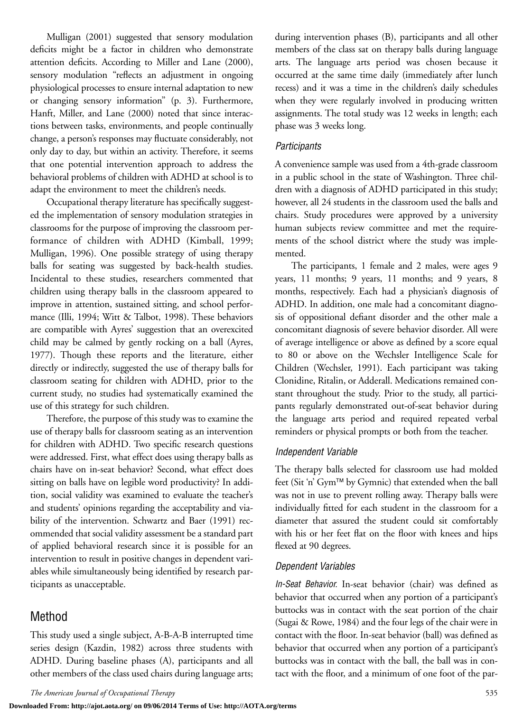Mulligan (2001) suggested that sensory modulation deficits might be a factor in children who demonstrate attention deficits. According to Miller and Lane (2000), sensory modulation "reflects an adjustment in ongoing physiological processes to ensure internal adaptation to new or changing sensory information" (p. 3). Furthermore, Hanft, Miller, and Lane (2000) noted that since interactions between tasks, environments, and people continually change, a person's responses may fluctuate considerably, not only day to day, but within an activity. Therefore, it seems that one potential intervention approach to address the behavioral problems of children with ADHD at school is to adapt the environment to meet the children's needs.

Occupational therapy literature has specifically suggested the implementation of sensory modulation strategies in classrooms for the purpose of improving the classroom performance of children with ADHD (Kimball, 1999; Mulligan, 1996). One possible strategy of using therapy balls for seating was suggested by back-health studies. Incidental to these studies, researchers commented that children using therapy balls in the classroom appeared to improve in attention, sustained sitting, and school performance (Illi, 1994; Witt & Talbot, 1998). These behaviors are compatible with Ayres' suggestion that an overexcited child may be calmed by gently rocking on a ball (Ayres, 1977). Though these reports and the literature, either directly or indirectly, suggested the use of therapy balls for classroom seating for children with ADHD, prior to the current study, no studies had systematically examined the use of this strategy for such children.

Therefore, the purpose of this study was to examine the use of therapy balls for classroom seating as an intervention for children with ADHD. Two specific research questions were addressed. First, what effect does using therapy balls as chairs have on in-seat behavior? Second, what effect does sitting on balls have on legible word productivity? In addition, social validity was examined to evaluate the teacher's and students' opinions regarding the acceptability and viability of the intervention. Schwartz and Baer (1991) recommended that social validity assessment be a standard part of applied behavioral research since it is possible for an intervention to result in positive changes in dependent variables while simultaneously being identified by research participants as unacceptable.

## Method

This study used a single subject, A-B-A-B interrupted time series design (Kazdin, 1982) across three students with ADHD. During baseline phases (A), participants and all other members of the class used chairs during language arts; during intervention phases (B), participants and all other members of the class sat on therapy balls during language arts. The language arts period was chosen because it occurred at the same time daily (immediately after lunch recess) and it was a time in the children's daily schedules when they were regularly involved in producing written assignments. The total study was 12 weeks in length; each phase was 3 weeks long.

#### *Participants*

A convenience sample was used from a 4th-grade classroom in a public school in the state of Washington. Three children with a diagnosis of ADHD participated in this study; however, all 24 students in the classroom used the balls and chairs. Study procedures were approved by a university human subjects review committee and met the requirements of the school district where the study was implemented.

The participants, 1 female and 2 males, were ages 9 years, 11 months; 9 years, 11 months; and 9 years, 8 months, respectively. Each had a physician's diagnosis of ADHD. In addition, one male had a concomitant diagnosis of oppositional defiant disorder and the other male a concomitant diagnosis of severe behavior disorder. All were of average intelligence or above as defined by a score equal to 80 or above on the Wechsler Intelligence Scale for Children (Wechsler, 1991). Each participant was taking Clonidine, Ritalin, or Adderall. Medications remained constant throughout the study. Prior to the study, all participants regularly demonstrated out-of-seat behavior during the language arts period and required repeated verbal reminders or physical prompts or both from the teacher.

#### *Independent Variable*

The therapy balls selected for classroom use had molded feet (Sit 'n' Gym™ by Gymnic) that extended when the ball was not in use to prevent rolling away. Therapy balls were individually fitted for each student in the classroom for a diameter that assured the student could sit comfortably with his or her feet flat on the floor with knees and hips flexed at 90 degrees.

### *Dependent Variables*

*In-Seat Behavior.* In-seat behavior (chair) was defined as behavior that occurred when any portion of a participant's buttocks was in contact with the seat portion of the chair (Sugai & Rowe, 1984) and the four legs of the chair were in contact with the floor. In-seat behavior (ball) was defined as behavior that occurred when any portion of a participant's buttocks was in contact with the ball, the ball was in contact with the floor, and a minimum of one foot of the par-

**Downloaded From: http://ajot.aota.org/ on 09/06/2014 Terms of Use: http://AOTA.org/terms**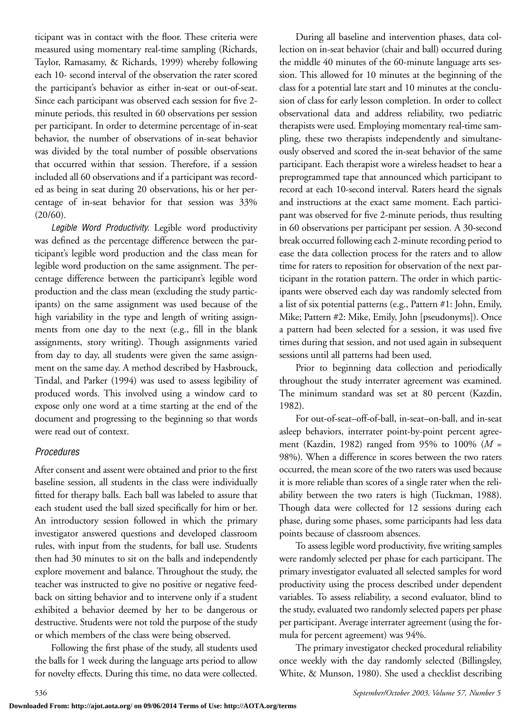ticipant was in contact with the floor. These criteria were measured using momentary real-time sampling (Richards, Taylor, Ramasamy, & Richards, 1999) whereby following each 10- second interval of the observation the rater scored the participant's behavior as either in-seat or out-of-seat. Since each participant was observed each session for five 2 minute periods, this resulted in 60 observations per session per participant. In order to determine percentage of in-seat behavior, the number of observations of in-seat behavior was divided by the total number of possible observations that occurred within that session. Therefore, if a session included all 60 observations and if a participant was recorded as being in seat during 20 observations, his or her percentage of in-seat behavior for that session was 33% (20/60).

*Legible Word Productivity.* Legible word productivity was defined as the percentage difference between the participant's legible word production and the class mean for legible word production on the same assignment. The percentage difference between the participant's legible word production and the class mean (excluding the study participants) on the same assignment was used because of the high variability in the type and length of writing assignments from one day to the next (e.g., fill in the blank assignments, story writing). Though assignments varied from day to day, all students were given the same assignment on the same day. A method described by Hasbrouck, Tindal, and Parker (1994) was used to assess legibility of produced words. This involved using a window card to expose only one word at a time starting at the end of the document and progressing to the beginning so that words were read out of context.

### *Procedures*

After consent and assent were obtained and prior to the first baseline session, all students in the class were individually fitted for therapy balls. Each ball was labeled to assure that each student used the ball sized specifically for him or her. An introductory session followed in which the primary investigator answered questions and developed classroom rules, with input from the students, for ball use. Students then had 30 minutes to sit on the balls and independently explore movement and balance. Throughout the study, the teacher was instructed to give no positive or negative feedback on sitting behavior and to intervene only if a student exhibited a behavior deemed by her to be dangerous or destructive. Students were not told the purpose of the study or which members of the class were being observed.

Following the first phase of the study, all students used the balls for 1 week during the language arts period to allow for novelty effects. During this time, no data were collected.

During all baseline and intervention phases, data collection on in-seat behavior (chair and ball) occurred during the middle 40 minutes of the 60-minute language arts session. This allowed for 10 minutes at the beginning of the class for a potential late start and 10 minutes at the conclusion of class for early lesson completion. In order to collect observational data and address reliability, two pediatric therapists were used. Employing momentary real-time sampling, these two therapists independently and simultaneously observed and scored the in-seat behavior of the same participant. Each therapist wore a wireless headset to hear a preprogrammed tape that announced which participant to record at each 10-second interval. Raters heard the signals and instructions at the exact same moment. Each participant was observed for five 2-minute periods, thus resulting in 60 observations per participant per session. A 30-second break occurred following each 2-minute recording period to ease the data collection process for the raters and to allow time for raters to reposition for observation of the next participant in the rotation pattern. The order in which participants were observed each day was randomly selected from a list of six potential patterns (e.g., Pattern #1: John, Emily, Mike; Pattern #2: Mike, Emily, John [pseudonyms]). Once a pattern had been selected for a session, it was used five times during that session, and not used again in subsequent sessions until all patterns had been used.

Prior to beginning data collection and periodically throughout the study interrater agreement was examined. The minimum standard was set at 80 percent (Kazdin, 1982).

For out-of-seat–off-of-ball, in-seat–on-ball, and in-seat asleep behaviors, interrater point-by-point percent agreement (Kazdin, 1982) ranged from 95% to 100% (*M* = 98%). When a difference in scores between the two raters occurred, the mean score of the two raters was used because it is more reliable than scores of a single rater when the reliability between the two raters is high (Tuckman, 1988). Though data were collected for 12 sessions during each phase, during some phases, some participants had less data points because of classroom absences.

To assess legible word productivity, five writing samples were randomly selected per phase for each participant. The primary investigator evaluated all selected samples for word productivity using the process described under dependent variables. To assess reliability, a second evaluator, blind to the study, evaluated two randomly selected papers per phase per participant. Average interrater agreement (using the formula for percent agreement) was 94%.

The primary investigator checked procedural reliability once weekly with the day randomly selected (Billingsley, White, & Munson, 1980). She used a checklist describing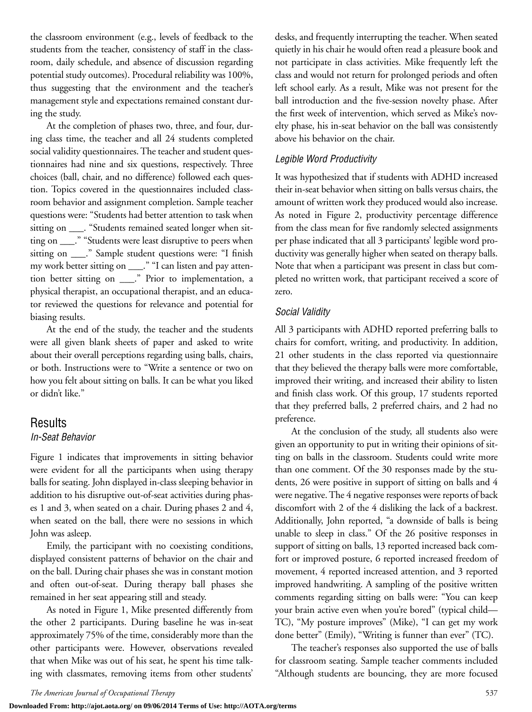the classroom environment (e.g., levels of feedback to the students from the teacher, consistency of staff in the classroom, daily schedule, and absence of discussion regarding potential study outcomes). Procedural reliability was 100%, thus suggesting that the environment and the teacher's management style and expectations remained constant during the study.

At the completion of phases two, three, and four, during class time, the teacher and all 24 students completed social validity questionnaires. The teacher and student questionnaires had nine and six questions, respectively. Three choices (ball, chair, and no difference) followed each question. Topics covered in the questionnaires included classroom behavior and assignment completion. Sample teacher questions were: "Students had better attention to task when sitting on \_\_\_\_. "Students remained seated longer when sitting on \_\_\_." "Students were least disruptive to peers when sitting on \_\_\_." Sample student questions were: "I finish my work better sitting on \_\_\_." "I can listen and pay attention better sitting on \_\_\_." Prior to implementation, a physical therapist, an occupational therapist, and an educator reviewed the questions for relevance and potential for biasing results.

At the end of the study, the teacher and the students were all given blank sheets of paper and asked to write about their overall perceptions regarding using balls, chairs, or both. Instructions were to "Write a sentence or two on how you felt about sitting on balls. It can be what you liked or didn't like."

## Results

### *In-Seat Behavior*

Figure 1 indicates that improvements in sitting behavior were evident for all the participants when using therapy balls for seating. John displayed in-class sleeping behavior in addition to his disruptive out-of-seat activities during phases 1 and 3, when seated on a chair. During phases 2 and 4, when seated on the ball, there were no sessions in which John was asleep.

Emily, the participant with no coexisting conditions, displayed consistent patterns of behavior on the chair and on the ball. During chair phases she was in constant motion and often out-of-seat. During therapy ball phases she remained in her seat appearing still and steady.

As noted in Figure 1, Mike presented differently from the other 2 participants. During baseline he was in-seat approximately 75% of the time, considerably more than the other participants were. However, observations revealed that when Mike was out of his seat, he spent his time talking with classmates, removing items from other students' desks, and frequently interrupting the teacher. When seated quietly in his chair he would often read a pleasure book and not participate in class activities. Mike frequently left the class and would not return for prolonged periods and often left school early. As a result, Mike was not present for the ball introduction and the five-session novelty phase. After the first week of intervention, which served as Mike's novelty phase, his in-seat behavior on the ball was consistently above his behavior on the chair.

## *Legible Word Productivity*

It was hypothesized that if students with ADHD increased their in-seat behavior when sitting on balls versus chairs, the amount of written work they produced would also increase. As noted in Figure 2, productivity percentage difference from the class mean for five randomly selected assignments per phase indicated that all 3 participants' legible word productivity was generally higher when seated on therapy balls. Note that when a participant was present in class but completed no written work, that participant received a score of zero.

## *Social Validity*

All 3 participants with ADHD reported preferring balls to chairs for comfort, writing, and productivity. In addition, 21 other students in the class reported via questionnaire that they believed the therapy balls were more comfortable, improved their writing, and increased their ability to listen and finish class work. Of this group, 17 students reported that they preferred balls, 2 preferred chairs, and 2 had no preference.

At the conclusion of the study, all students also were given an opportunity to put in writing their opinions of sitting on balls in the classroom. Students could write more than one comment. Of the 30 responses made by the students, 26 were positive in support of sitting on balls and 4 were negative. The 4 negative responses were reports of back discomfort with 2 of the 4 disliking the lack of a backrest. Additionally, John reported, "a downside of balls is being unable to sleep in class." Of the 26 positive responses in support of sitting on balls, 13 reported increased back comfort or improved posture, 6 reported increased freedom of movement, 4 reported increased attention, and 3 reported improved handwriting. A sampling of the positive written comments regarding sitting on balls were: "You can keep your brain active even when you're bored" (typical child— TC), "My posture improves" (Mike), "I can get my work done better" (Emily), "Writing is funner than ever" (TC).

The teacher's responses also supported the use of balls for classroom seating. Sample teacher comments included "Although students are bouncing, they are more focused

**Downloaded From: http://ajot.aota.org/ on 09/06/2014 Terms of Use: http://AOTA.org/terms**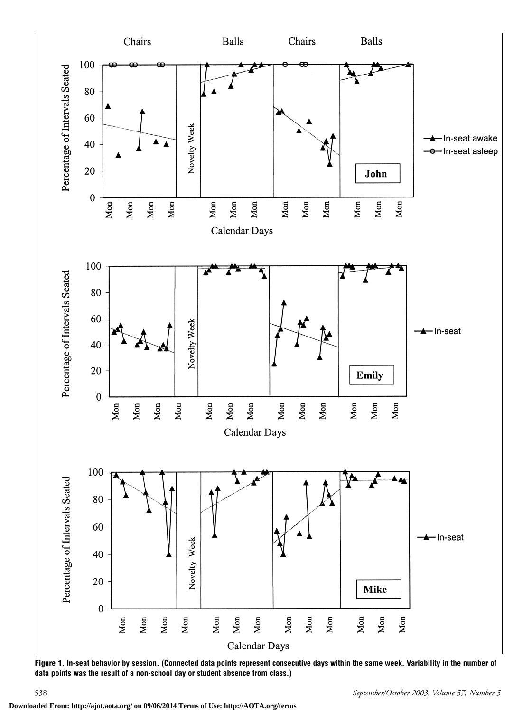

**Figure 1. In-seat behavior by session. (Connected data points represent consecutive days within the same week. Variability in the number of data points was the result of a non-school day or student absence from class.)**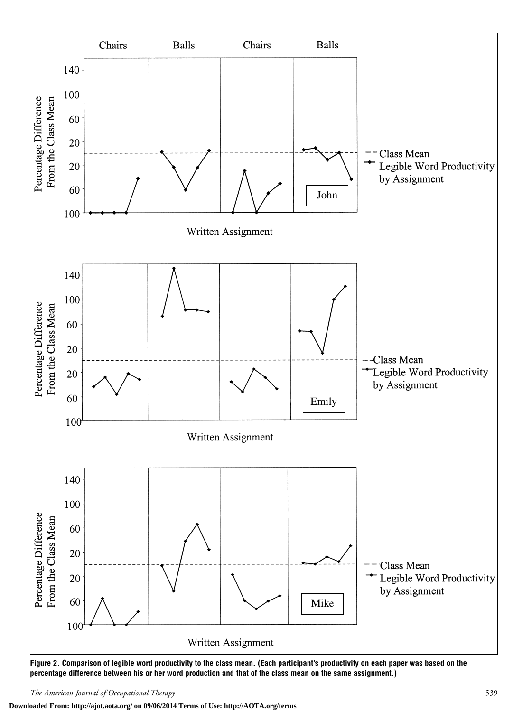

**Figure 2. Comparison of legible word productivity to the class mean. (Each participant's productivity on each paper was based on the percentage difference between his or her word production and that of the class mean on the same assignment.)**

**Downloaded From: http://ajot.aota.org/ on 09/06/2014 Terms of Use: http://AOTA.org/terms**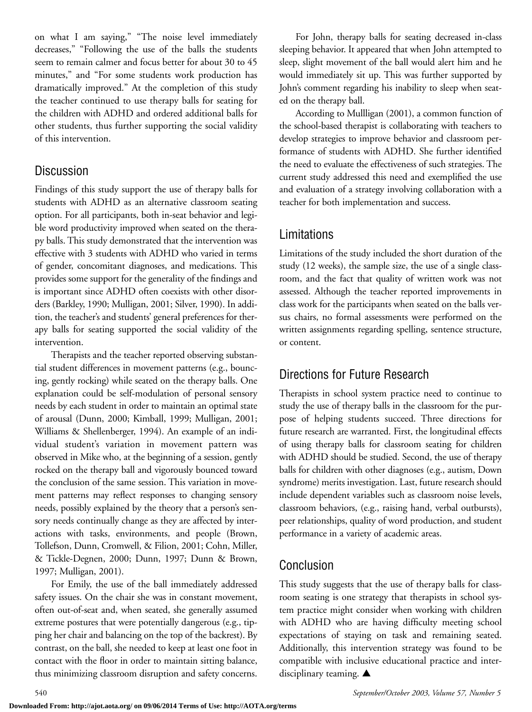on what I am saying," "The noise level immediately decreases," "Following the use of the balls the students seem to remain calmer and focus better for about 30 to 45 minutes," and "For some students work production has dramatically improved." At the completion of this study the teacher continued to use therapy balls for seating for the children with ADHD and ordered additional balls for other students, thus further supporting the social validity of this intervention.

# **Discussion**

Findings of this study support the use of therapy balls for students with ADHD as an alternative classroom seating option. For all participants, both in-seat behavior and legible word productivity improved when seated on the therapy balls. This study demonstrated that the intervention was effective with 3 students with ADHD who varied in terms of gender, concomitant diagnoses, and medications. This provides some support for the generality of the findings and is important since ADHD often coexists with other disorders (Barkley, 1990; Mulligan, 2001; Silver, 1990). In addition, the teacher's and students' general preferences for therapy balls for seating supported the social validity of the intervention.

Therapists and the teacher reported observing substantial student differences in movement patterns (e.g., bouncing, gently rocking) while seated on the therapy balls. One explanation could be self-modulation of personal sensory needs by each student in order to maintain an optimal state of arousal (Dunn, 2000; Kimball, 1999; Mulligan, 2001; Williams & Shellenberger, 1994). An example of an individual student's variation in movement pattern was observed in Mike who, at the beginning of a session, gently rocked on the therapy ball and vigorously bounced toward the conclusion of the same session. This variation in movement patterns may reflect responses to changing sensory needs, possibly explained by the theory that a person's sensory needs continually change as they are affected by interactions with tasks, environments, and people (Brown, Tollefson, Dunn, Cromwell, & Filion, 2001; Cohn, Miller, & Tickle-Degnen, 2000; Dunn, 1997; Dunn & Brown, 1997; Mulligan, 2001).

For Emily, the use of the ball immediately addressed safety issues. On the chair she was in constant movement, often out-of-seat and, when seated, she generally assumed extreme postures that were potentially dangerous (e.g., tipping her chair and balancing on the top of the backrest). By contrast, on the ball, she needed to keep at least one foot in contact with the floor in order to maintain sitting balance, thus minimizing classroom disruption and safety concerns.

For John, therapy balls for seating decreased in-class sleeping behavior. It appeared that when John attempted to sleep, slight movement of the ball would alert him and he would immediately sit up. This was further supported by John's comment regarding his inability to sleep when seated on the therapy ball.

According to Mullligan (2001), a common function of the school-based therapist is collaborating with teachers to develop strategies to improve behavior and classroom performance of students with ADHD. She further identified the need to evaluate the effectiveness of such strategies. The current study addressed this need and exemplified the use and evaluation of a strategy involving collaboration with a teacher for both implementation and success.

# Limitations

Limitations of the study included the short duration of the study (12 weeks), the sample size, the use of a single classroom, and the fact that quality of written work was not assessed. Although the teacher reported improvements in class work for the participants when seated on the balls versus chairs, no formal assessments were performed on the written assignments regarding spelling, sentence structure, or content.

# Directions for Future Research

Therapists in school system practice need to continue to study the use of therapy balls in the classroom for the purpose of helping students succeed. Three directions for future research are warranted. First, the longitudinal effects of using therapy balls for classroom seating for children with ADHD should be studied. Second, the use of therapy balls for children with other diagnoses (e.g., autism, Down syndrome) merits investigation. Last, future research should include dependent variables such as classroom noise levels, classroom behaviors, (e.g., raising hand, verbal outbursts), peer relationships, quality of word production, and student performance in a variety of academic areas.

# Conclusion

This study suggests that the use of therapy balls for classroom seating is one strategy that therapists in school system practice might consider when working with children with ADHD who are having difficulty meeting school expectations of staying on task and remaining seated. Additionally, this intervention strategy was found to be compatible with inclusive educational practice and interdisciplinary teaming. **▲**